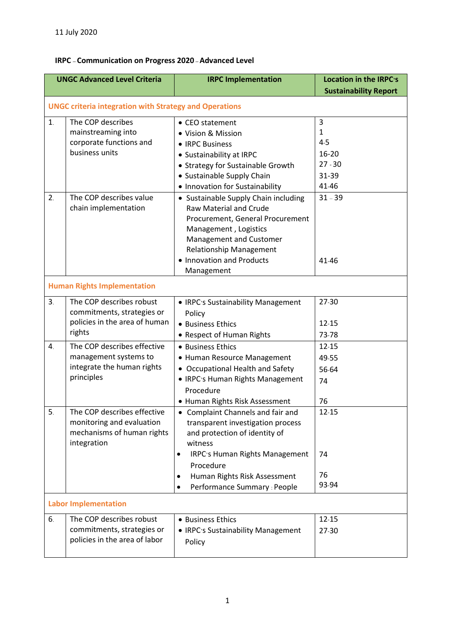## **IRPC – Communication on Progress 2020 – Advanced Level**

| <b>UNGC Advanced Level Criteria</b> |                                                               | <b>IRPC Implementation</b>                  | <b>Location in the IRPC's</b> |
|-------------------------------------|---------------------------------------------------------------|---------------------------------------------|-------------------------------|
|                                     |                                                               |                                             | <b>Sustainability Report</b>  |
|                                     | <b>UNGC criteria integration with Strategy and Operations</b> |                                             |                               |
| 1 <sub>1</sub>                      | The COP describes                                             | • CEO statement                             | 3                             |
|                                     | mainstreaming into                                            | • Vision & Mission                          | $\mathbf{1}$                  |
|                                     | corporate functions and                                       | • IRPC Business                             | $4-5$                         |
|                                     | business units                                                | • Sustainability at IRPC                    | 16-20                         |
|                                     |                                                               | • Strategy for Sustainable Growth           | $27 - 30$                     |
|                                     |                                                               | • Sustainable Supply Chain                  | 31-39                         |
|                                     |                                                               | • Innovation for Sustainability             | 41-46                         |
| 2.                                  | The COP describes value                                       | • Sustainable Supply Chain including        | $31 - 39$                     |
|                                     | chain implementation                                          | Raw Material and Crude                      |                               |
|                                     |                                                               | Procurement, General Procurement            |                               |
|                                     |                                                               | Management, Logistics                       |                               |
|                                     |                                                               | Management and Customer                     |                               |
|                                     |                                                               | <b>Relationship Management</b>              |                               |
|                                     |                                                               | • Innovation and Products                   | 41-46                         |
|                                     |                                                               | Management                                  |                               |
|                                     | <b>Human Rights Implementation</b>                            |                                             |                               |
| 3 <sub>1</sub>                      | The COP describes robust                                      | • IRPC's Sustainability Management          | 27-30                         |
|                                     | commitments, strategies or                                    | Policy                                      |                               |
|                                     | policies in the area of human                                 | • Business Ethics                           | 12-15                         |
|                                     | rights                                                        | • Respect of Human Rights                   | 73-78                         |
| $\mathbf{4}$ .                      | The COP describes effective                                   | • Business Ethics                           | 12-15                         |
|                                     | management systems to                                         | • Human Resource Management                 | 49-55                         |
|                                     | integrate the human rights                                    | • Occupational Health and Safety            | 56-64                         |
|                                     | principles                                                    | • IRPC's Human Rights Management            | 74                            |
|                                     |                                                               | Procedure                                   |                               |
|                                     |                                                               | • Human Rights Risk Assessment              | 76                            |
| 5.                                  | The COP describes effective                                   | • Complaint Channels and fair and           | 12-15                         |
|                                     | monitoring and evaluation                                     | transparent investigation process           |                               |
|                                     | mechanisms of human rights                                    | and protection of identity of               |                               |
|                                     | integration                                                   | witness                                     |                               |
|                                     |                                                               | IRPC's Human Rights Management<br>$\bullet$ | 74                            |
|                                     |                                                               | Procedure                                   |                               |
|                                     |                                                               | Human Rights Risk Assessment                | 76                            |
|                                     |                                                               | Performance Summary : People                | 93-94                         |
|                                     | <b>Labor Implementation</b>                                   |                                             |                               |
| 6.                                  | The COP describes robust                                      | • Business Ethics                           | 12-15                         |
|                                     | commitments, strategies or                                    | • IRPC's Sustainability Management          | 27-30                         |
|                                     | policies in the area of labor                                 | Policy                                      |                               |
|                                     |                                                               |                                             |                               |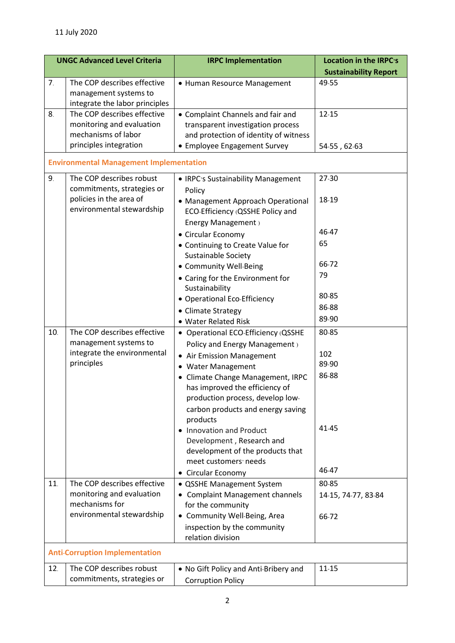| <b>UNGC Advanced Level Criteria</b> |                                                                                                           | <b>IRPC Implementation</b>                                                                                                                                                                                                                                                                                                                                                                                                                   | <b>Location in the IRPC's</b>                    |
|-------------------------------------|-----------------------------------------------------------------------------------------------------------|----------------------------------------------------------------------------------------------------------------------------------------------------------------------------------------------------------------------------------------------------------------------------------------------------------------------------------------------------------------------------------------------------------------------------------------------|--------------------------------------------------|
|                                     |                                                                                                           |                                                                                                                                                                                                                                                                                                                                                                                                                                              | <b>Sustainability Report</b>                     |
| 7 <sub>1</sub>                      | The COP describes effective<br>management systems to<br>integrate the labor principles                    | • Human Resource Management                                                                                                                                                                                                                                                                                                                                                                                                                  | 49-55                                            |
| 8.                                  | The COP describes effective<br>monitoring and evaluation<br>mechanisms of labor<br>principles integration | • Complaint Channels and fair and<br>transparent investigation process<br>and protection of identity of witness<br>• Employee Engagement Survey                                                                                                                                                                                                                                                                                              | 12-15<br>54-55, 62-63                            |
|                                     | <b>Environmental Management Implementation</b>                                                            |                                                                                                                                                                                                                                                                                                                                                                                                                                              |                                                  |
| 9.                                  | The COP describes robust<br>commitments, strategies or<br>policies in the area of                         | • IRPC's Sustainability Management<br>Policy<br>• Management Approach Operational                                                                                                                                                                                                                                                                                                                                                            | 27-30<br>18-19                                   |
|                                     | environmental stewardship                                                                                 | ECO-Efficiency (QSSHE Policy and<br>Energy Management)<br>• Circular Economy<br>• Continuing to Create Value for                                                                                                                                                                                                                                                                                                                             | 46-47<br>65                                      |
|                                     |                                                                                                           | Sustainable Society<br>• Community Well-Being<br>• Caring for the Environment for                                                                                                                                                                                                                                                                                                                                                            | 66-72<br>79                                      |
|                                     |                                                                                                           | Sustainability<br>• Operational Eco-Efficiency<br>• Climate Strategy<br>• Water Related Risk                                                                                                                                                                                                                                                                                                                                                 | 80-85<br>86-88<br>89-90                          |
| 10.                                 | The COP describes effective<br>management systems to<br>integrate the environmental<br>principles         | • Operational ECO-Efficiency (QSSHE<br>Policy and Energy Management )<br>• Air Emission Management<br>• Water Management<br>• Climate Change Management, IRPC<br>has improved the efficiency of<br>production process, develop low-<br>carbon products and energy saving<br>products<br>• Innovation and Product<br>Development, Research and<br>development of the products that<br>meet customers <sup>,</sup> needs<br>• Circular Economy | 80-85<br>102<br>89-90<br>86-88<br>41-45<br>46-47 |
| 11.                                 | The COP describes effective<br>monitoring and evaluation<br>mechanisms for<br>environmental stewardship   | • QSSHE Management System<br>• Complaint Management channels<br>for the community<br>• Community Well-Being, Area<br>inspection by the community<br>relation division                                                                                                                                                                                                                                                                        | 80-85<br>14-15, 74-77, 83-84<br>66-72            |
|                                     | <b>Anti-Corruption Implementation</b>                                                                     |                                                                                                                                                                                                                                                                                                                                                                                                                                              |                                                  |
| 12.                                 | The COP describes robust<br>commitments, strategies or                                                    | . No Gift Policy and Anti-Bribery and<br><b>Corruption Policy</b>                                                                                                                                                                                                                                                                                                                                                                            | 11-15                                            |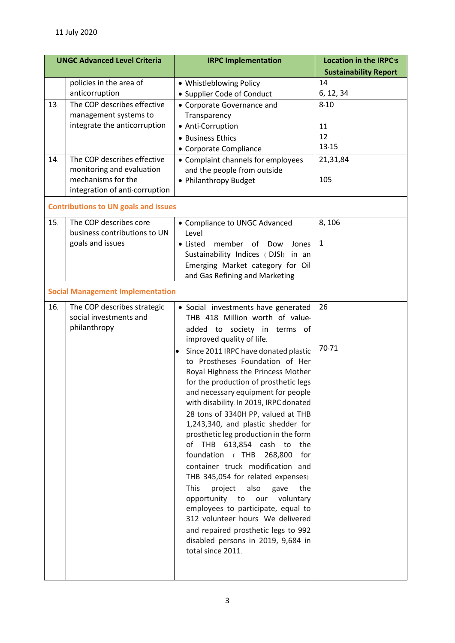|     | <b>UNGC Advanced Level Criteria</b>                    | <b>IRPC Implementation</b>                                                   | Location in the IRPC's       |
|-----|--------------------------------------------------------|------------------------------------------------------------------------------|------------------------------|
|     |                                                        |                                                                              | <b>Sustainability Report</b> |
|     | policies in the area of                                | • Whistleblowing Policy                                                      | 14                           |
| 13. | anticorruption<br>The COP describes effective          | • Supplier Code of Conduct                                                   | 6, 12, 34<br>$8 - 10$        |
|     | management systems to                                  | • Corporate Governance and<br>Transparency                                   |                              |
|     | integrate the anticorruption                           | • Anti-Corruption                                                            | 11                           |
|     |                                                        | • Business Ethics                                                            | 12                           |
|     |                                                        | • Corporate Compliance                                                       | 13-15                        |
| 14. | The COP describes effective                            | • Complaint channels for employees                                           | 21,31,84                     |
|     | monitoring and evaluation<br>mechanisms for the        | and the people from outside<br>• Philanthropy Budget                         | 105                          |
|     | integration of anti-corruption                         |                                                                              |                              |
|     | <b>Contributions to UN goals and issues</b>            |                                                                              |                              |
|     |                                                        |                                                                              |                              |
| 15. | The COP describes core<br>business contributions to UN | • Compliance to UNGC Advanced<br>Level                                       | 8, 106                       |
|     | goals and issues                                       | member of<br>• Listed<br>Dow<br>Jones                                        | 1                            |
|     |                                                        | Sustainability Indices (DJSI) in an                                          |                              |
|     |                                                        | Emerging Market category for Oil                                             |                              |
|     |                                                        | and Gas Refining and Marketing                                               |                              |
|     | <b>Social Management Implementation</b>                |                                                                              |                              |
| 16. | The COP describes strategic                            | • Social investments have generated                                          | 26                           |
|     | social investments and<br>philanthropy                 | THB 418 Million worth of value-                                              |                              |
|     |                                                        | added to society in terms of<br>improved quality of life.                    |                              |
|     |                                                        | Since 2011 IRPC have donated plastic<br>٠                                    | 70-71                        |
|     |                                                        | to Prostheses Foundation of Her                                              |                              |
|     |                                                        | Royal Highness the Princess Mother                                           |                              |
|     |                                                        | for the production of prosthetic legs                                        |                              |
|     |                                                        | and necessary equipment for people<br>with disability. In 2019, IRPC donated |                              |
|     |                                                        | 28 tons of 3340H PP, valued at THB                                           |                              |
|     |                                                        | 1,243,340, and plastic shedder for                                           |                              |
|     |                                                        | prosthetic leg production in the form                                        |                              |
|     |                                                        | of THB 613,854 cash<br>to<br>the                                             |                              |
|     |                                                        | foundation (THB<br>268,800<br>for<br>container truck modification and        |                              |
|     |                                                        | THB 345,054 for related expenses).                                           |                              |
|     |                                                        | This<br>project<br>also<br>the<br>gave                                       |                              |
|     |                                                        | opportunity<br>to<br>our<br>voluntary                                        |                              |
|     |                                                        | employees to participate, equal to                                           |                              |
|     |                                                        | 312 volunteer hours. We delivered                                            |                              |
|     |                                                        | and repaired prosthetic legs to 992<br>disabled persons in 2019, 9,684 in    |                              |
|     |                                                        | total since 2011.                                                            |                              |
|     |                                                        |                                                                              |                              |
|     |                                                        |                                                                              |                              |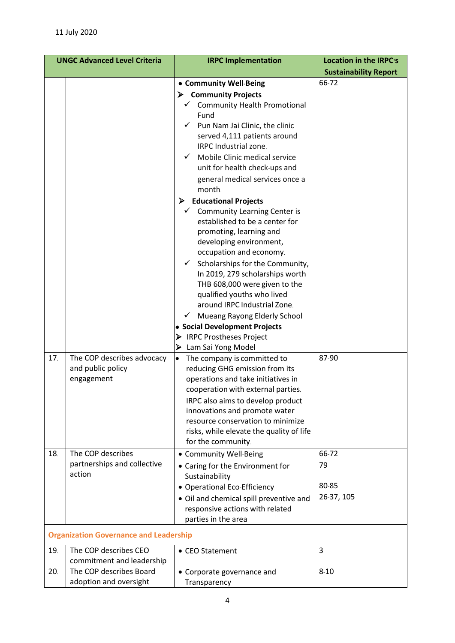| <b>UNGC Advanced Level Criteria</b>           |                                                   | <b>IRPC Implementation</b>                                                         | <b>Location in the IRPC's</b> |
|-----------------------------------------------|---------------------------------------------------|------------------------------------------------------------------------------------|-------------------------------|
|                                               |                                                   |                                                                                    | <b>Sustainability Report</b>  |
|                                               |                                                   | • Community Well-Being                                                             | 66-72                         |
|                                               |                                                   | <b>Community Projects</b><br><b>Community Health Promotional</b><br>$\checkmark$   |                               |
|                                               |                                                   | Fund                                                                               |                               |
|                                               |                                                   | $\checkmark$<br>Pun Nam Jai Clinic, the clinic                                     |                               |
|                                               |                                                   | served 4,111 patients around                                                       |                               |
|                                               |                                                   | <b>IRPC Industrial zone.</b>                                                       |                               |
|                                               |                                                   | $\checkmark$<br>Mobile Clinic medical service<br>unit for health check-ups and     |                               |
|                                               |                                                   | general medical services once a                                                    |                               |
|                                               |                                                   | month.                                                                             |                               |
|                                               |                                                   | $\triangleright$ Educational Projects                                              |                               |
|                                               |                                                   | $\checkmark$ Community Learning Center is<br>established to be a center for        |                               |
|                                               |                                                   | promoting, learning and                                                            |                               |
|                                               |                                                   | developing environment,                                                            |                               |
|                                               |                                                   | occupation and economy.                                                            |                               |
|                                               |                                                   | Scholarships for the Community,<br>$\checkmark$<br>In 2019, 279 scholarships worth |                               |
|                                               |                                                   | THB 608,000 were given to the                                                      |                               |
|                                               |                                                   | qualified youths who lived                                                         |                               |
|                                               |                                                   | around IRPC Industrial Zone.                                                       |                               |
|                                               |                                                   | Mueang Rayong Elderly School<br>$\checkmark$                                       |                               |
|                                               |                                                   | • Social Development Projects                                                      |                               |
|                                               |                                                   | <b>IRPC Prostheses Project</b>                                                     |                               |
| 17.                                           | The COP describes advocacy                        | Lam Sai Yong Model<br>➤                                                            | 87-90                         |
|                                               | and public policy                                 | The company is committed to<br>$\bullet$<br>reducing GHG emission from its         |                               |
|                                               | engagement                                        | operations and take initiatives in                                                 |                               |
|                                               |                                                   | cooperation with external parties.                                                 |                               |
|                                               |                                                   | IRPC also aims to develop product                                                  |                               |
|                                               |                                                   | innovations and promote water                                                      |                               |
|                                               |                                                   | resource conservation to minimize                                                  |                               |
|                                               |                                                   | risks, while elevate the quality of life<br>for the community.                     |                               |
| 18.                                           | The COP describes                                 | • Community Well-Being                                                             | 66-72                         |
|                                               | partnerships and collective                       | • Caring for the Environment for                                                   | 79                            |
|                                               | action                                            | Sustainability                                                                     |                               |
|                                               |                                                   | • Operational Eco-Efficiency                                                       | 80-85                         |
|                                               |                                                   | · Oil and chemical spill preventive and                                            | 26-37, 105                    |
|                                               |                                                   | responsive actions with related                                                    |                               |
|                                               |                                                   | parties in the area                                                                |                               |
| <b>Organization Governance and Leadership</b> |                                                   |                                                                                    |                               |
| 19.                                           | The COP describes CEO                             | • CEO Statement                                                                    | 3                             |
|                                               | commitment and leadership                         |                                                                                    |                               |
| 20.                                           | The COP describes Board<br>adoption and oversight | • Corporate governance and                                                         | $8 - 10$                      |
|                                               |                                                   | Transparency                                                                       |                               |